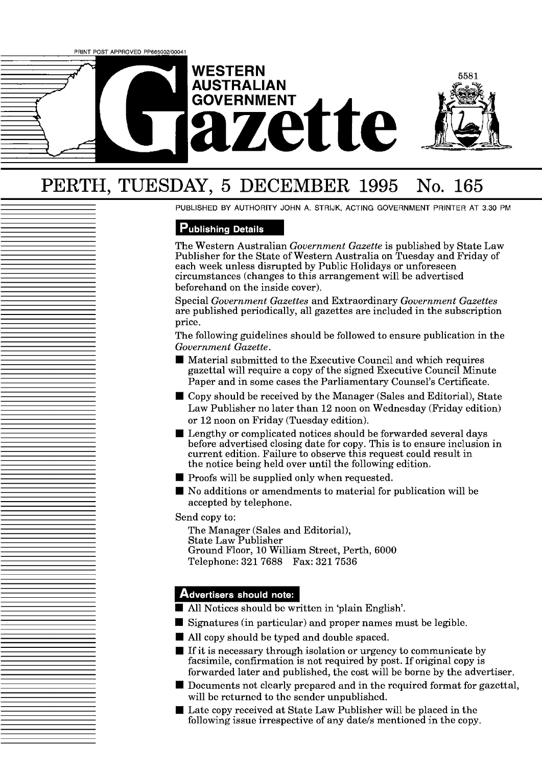# **WESTERN AUSTRALIAN ette**

# PERTH, TUESDAY, 5 DECEMBER 1995 No. 165

PUBLISHED BY AUTHORITY JOHN A. STRIJK, ACTING GOVERNMENT PRINTER AT 3.30 PM

5581

### **Publishing Details**

The Western Australian *Government Gazette* is published by State Law Publisher for the State of Western Australia on Tuesday and Friday of each week unless disrupted by Public Holidays or unforeseen circumstances (changes to this arrangement will be advertised beforehand on the inside cover).

Special *Government Gazettes* and Extraordinary *Government Gazettes*  are published periodically, all gazettes are included in the subscription price.

The following guidelines should be followed to ensure publication in the *Government Gazette.* 

- Material submitted to the Executive Council and which requires gazettal will require a copy of the signed Executive Council Minute Paper and in some cases the Parliamentary Counsel's Certificate.
- Copy should be received by the Manager (Sales and Editorial), State Law Publisher no later than 12 noon on Wednesday (Friday edition) or 12 noon on Friday (Tuesday edition).
- **Lengthy or complicated notices should be forwarded several days** before advertised closing date for copy. This is to ensure inclusion in current edition. Failure to observe this request could result in the notice being held over until the following edition.
- $\blacksquare$  Proofs will be supplied only when requested.
- No additions or amendments to material for publication will be accepted by telephone.

Send copy to:

The Manager (Sales and Editorial), State Law Publisher Ground Floor, 10 William Street, Perth, 6000 Telephone: 321 7688 Fax: 321 7536

#### Advertisers should note:

- All Notices should be written in 'plain English'.
- Signatures (in particular) and proper names must be legible.
- All copy should be typed and double spaced.
- $\blacksquare$  If it is necessary through isolation or urgency to communicate by facsimile, confirmation is not required by post. If original copy is forwarded later and published, the cost will be borne by the advertiser.
- $\blacksquare$  Documents not clearly prepared and in the required format for gazettal, will be returned to the sender unpublished.
- $\blacksquare$  Late copy received at State Law Publisher will be placed in the following issue irrespective of any date/s mentioned in the copy.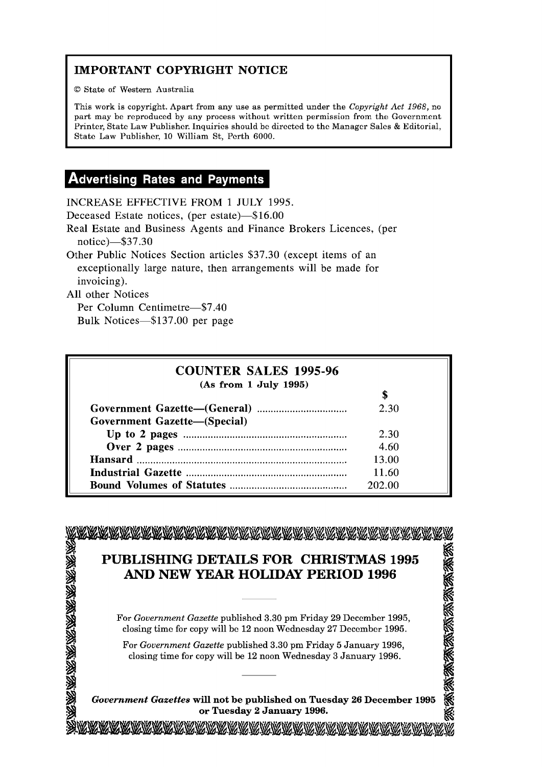# **IMPORTANT COPYRIGHT NOTICE**

O State of Western Australia

This work is copyright. Apart from any use as permitted under the **Copyright** *Act* 1968, no part may be reproduced by any process without written permission from the Government Printer, State Law Publishcr. Inquiries should be directed to the Manager Sales & Editorial, Stato Law Publishor, 10 William St, Perth 6000.

## **Advertising Rates and Payments**

INCREASE EFFECTIVE FROM 1 JULY 1995.

Deceased Estate notices, (per estate)-\$16.00

Real Estate and Business Agents and Finance Brokers Licences, (per notice)-\$37.30

Other Public Notices Section articles \$37.30 (except items of an exceptionally large nature, then arrangements will be made for invoicing).

All other Notices

KAYAYANANANANANANANANA

Per Column Centimetre-\$7.40 Bulk Notices-\$137.00 per page

| <b>COUNTER SALES 1995-96</b>        |        |
|-------------------------------------|--------|
| (As from 1 July 1995)               |        |
|                                     |        |
|                                     | 2.30   |
| <b>Government Gazette-(Special)</b> |        |
|                                     | 2.30   |
|                                     | 4.60   |
|                                     | 13.00  |
|                                     | 11.60  |
|                                     | 202.00 |

# **PUBLISHING DETAILS FOR CHRISTMAS 1995**<br> **AND NEW YEAR HOLIDAY PERIOD 1996 FUBLISHING DETAILS FOR CHRISTMAS 1995**<br> **AND NEW YEAR HOLIDAY PERIOD 1996**<br>
For *Government Gazette* published 3.30 pm Friday 29 December 1995,<br>
closing time for copy will be 12 noon Wednesday 27 December 1995.<br>
For *Gove*

For *Government Gazette* publishcd *3.30* pm Friday **29** Deccmbcr **1995,**  closing time for copy will be 12 noon Wednesday 27 December 1995.

For *Government Gazette* published *3.30* pm Friday 5 January **1996,**  closing time for copy will be 12 noon Wednesday **3** January **1996.** 

**or Tuesday 2 January 1996.**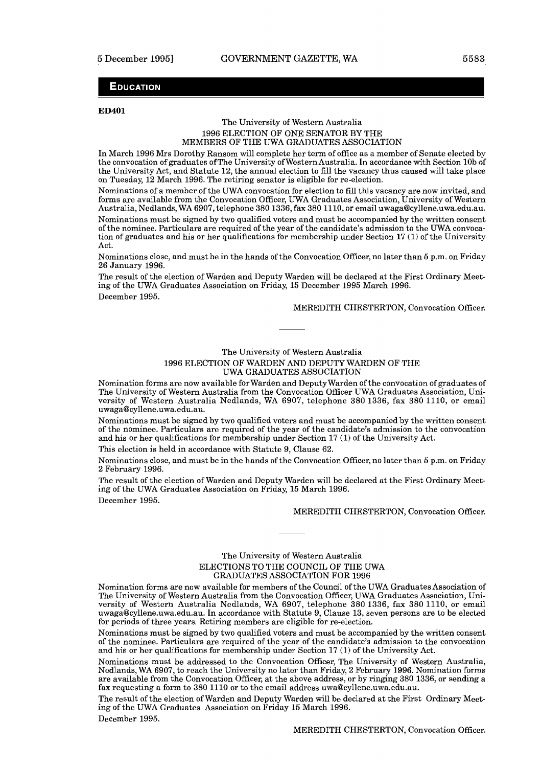#### **EDUCATION**

#### **ED401**

#### Thc University of Western Australia 1996 ELECTION OF ONE SENATOR BY THE MEMBERS OF THE UWA GRADUATES ASSOCIATION

In March 1996 Mrs Dorothy Ransom will complete her term of office as a member of Senate elected by the convocation of graduates of The University of Western Australia. In accordance with Section 10b of the University Act, and Statute 12, the annual election to fill the vacancy thus caused will take place on Tuesday, 12 March 1996. The retiring senator is eligible for re-election.

Nominations of a member of the UWA convocation for election to fill this vacancy are now invited, and forms are available from the Convocation Officer, UWA Graduates Association, University of Western Australia, Nedlands, WA 6907, telephone 380 1336, fax 380 11 10, or email **uwaga@cyllene.uwa.edu.au.**  Nominations must be signed by two qualified voters and must be accompanied by the written consent

of the nominee. Particulars are required of the year of the candidate's admission to the UWA convocation of graduates and his or her qualifications for membership under Section 17 (1) of the University Act.

Nominations close, and must be in the hands of the Convocation Officer, no later than *5* p.m. on Friday 26 January 1996.

The result of the election of Warden and Deputy Warden will be declared at the First Ordinary Meeting of the UWA Graduates Association on Friday, 15 December 1995 March 1996. December 1995.

MEREDITH CHESTERTON, Convocation Officer.

#### The University of Western Australia 1996 ELECTION OF WARDEN AND DEPUTY WARDEN OF THE UWA GRADUATES ASSOCIATION

Nomination forms are now available forwarden and DeputyWarden of the convocation of graduates of The University of Western Australia from the Convocation Officer UWA Graduates Association, University of Western Australia Nedlands, WA 6907, telephone 380 1336, fax 380 1110, or email **uwaga@cyllene.uwa.edu.au.** 

Nominations must be signed by two qualified voters and must be accompanied by the written consent of the nominee. Particulars are required of the year of the candidate's admission to the convocation and his or her qualifications for membership under Section 17 (1) of the University Act.

This election is held in accordance with Statute 9, Clause 62.

Nominations close, and must be in the hands of the Convocation Officer, no later than *5* p.m. on Friday 2 February 1996.

The result of the election of Warden and Deputy Warden will be declared at the First Ordinary Meeting of the UWA Graduates Association on Friday, 15 March 1996. December 1995.

MEREDITH CHESTERTON, Convocation Officer.

#### The University of Western Australia ELECTIONS TO TIIE COUNCIL OF THE UWA GRADUATES ASSOCIATION FOR 1996

Nomination forms are now available for members of the Council of the UWA Graduates Association of The University of Western Australia from the Convocation Officer, UWA Graduates Association, University of Western Australia Nedlands, WA 6907, telephone 380 1336, fax 380 1110, or email **uwaga@cyllene.uwa.edu.au.** In accordance with Statute 9, Clause 13, seven persons are to be elected for periods of three years. Retiring members are eligible for re-election.

Nominations must be signed by two qualified voters and must be accompanied by the written consent of the nominee. Particulars are required of the year of the candidate's admission to the convocation and his or her qualifications for membership under Section 17 (1) of the University  $\Lambda$ ct.

Nominations must be addressed to the Convocation Officer, The University of Western Australia, Nedlands, WA 6907, to rcach thc University no latcr than Friday, 2 February 1996. Nomination forms are available from the Convocation Officer, at the above address, or by ringing 380 1336, or sending a fax rcqucsting a form to 380 1110 or to thc omail address uwa@cyllcnc.uwa.cdu.au.

The result of the election of Warden and Deputy Warden will be declared at the Firat Ordinary Meeting of the UWA Graduates Association on Friday 15 March 1996. December 1995.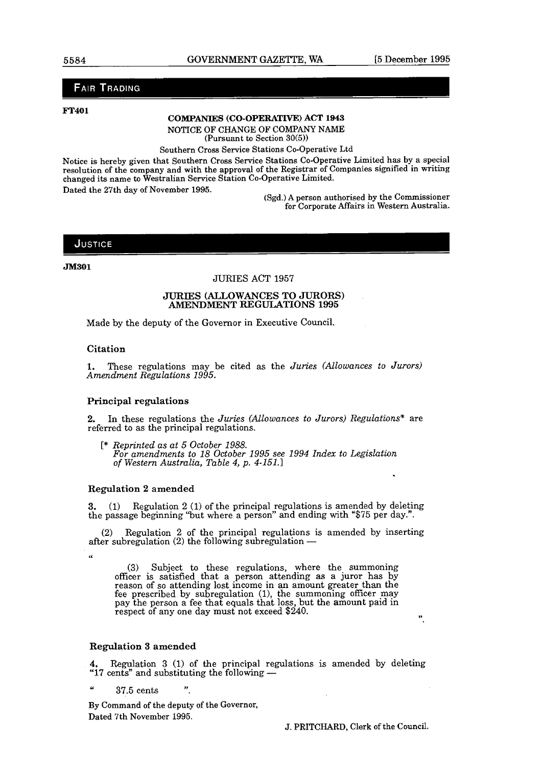#### **FAIR TRADING**

#### **FT401**

#### **COMPANIES (CO-OPERATIVE) ACT 1943**

NOTICE **OF** CHANGE OF COMPANY NAME

(Pursuant to Section **30(5))** 

Southern Cross Service Stations Co-Operative Ltd

Notice is hereby given that Southern Cross Service Stations Co-Operative Limited has by a special resolution of the company and with the approval of the Registrar of Companies signified in writing changed its name to Westralian Service Station Co-operative Limited. Dated the 27th day of November 1995.

(Sgd.) A person authorised by the Commissioner for Corporate Affairs in Western Australia.

#### JUSTICE

**JM301** 

#### JURIES ACT 1957

# **JURIES (ALLOWANCES TO JURORS) AMENDMENT REGULATIONS 1995**

Made by the deputy of the Governor in Executive Council.

#### **Citation**

**U** 

**1.** These regulations may be cited as the *Juries (Allowances to Jurors) Amendment Regulations 1995.* 

#### Principal regulations

**2.** In these regulations the *Juries (Allowances to Jurors) Regulations\** are referred to as the principal regulations.

[\* *Reprinted as at 5 October 1988. For amendments to 18 October 1995 see 1994 Index to Legislation* of *Western Australia, Table 4, p. 4-151.1* 

#### Regulation **2** amended

**3.** (1) Regulation 2 (1) of the principal regulations is amended by deleting the passage beginning 'but where a person" and ending with "\$75 per day.".

(2) Regulation 2 of the principal regulations is amended by inserting after subregulation (2) the following subregulation  $-$ 

**(3)** Subject to these regulations, where the summoning officer is satisfied that a person attending as a juror has by reason of so attending lost income in an amount greater than the fee prescribed by subregulation (1), the summoning officer may pay the person a fee that equals that loss, but the amount paid in respect of any one day must not exceed \$240.

#### Regulation **3** amended

**4,** Regulation **3** (1) of the principal regulations is amended by deleting "17 cents" and substituting the following -

" 37.5 cents **7,** 

By Command of the deputy of the Governor, Dated 7th November 1995.

J. PRITCHARD, Clerk of the Council.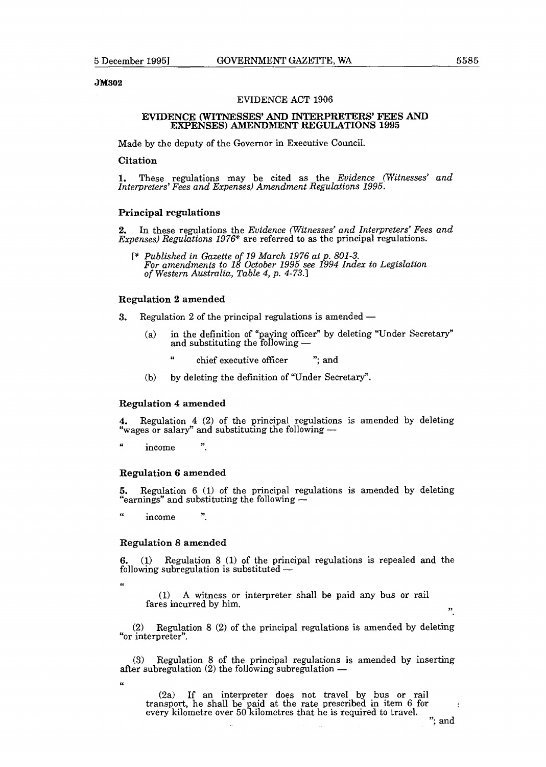#### JM302

#### EVIDENCE ACT 1906

#### **EVIDENCE (WITNESSES' AND INTERPRETERS' FEES AND EXPENSES) AMENDMENT REGULATIONS 1995**

Made by the deputy of the Governor in Executive Council.

**Citation** 

1. These regulations may be cited as the *Evidence (Witnesses' and Interpreters' Fees and Expenses) Amendment Regulations 1995.* 

#### **Principal regulations**

**2.** In these regulations the *Evidence (Witnesses' and Interpreters: Fees and Expenses) Regulations 1976\** are referred to as the principal regulations.

*C\* Published in Gazette of 19 March 1976 at p. 801-3. For amendments to 18 October 1995 see 1994 Index to Legislation of Western Australia, Table 4, p.* 4-73.1

#### **Regulation 2 amended**

**3.** Regulation 2 of the principal regulations is amended -

- (a) in the definition of "paying officer" by deleting "Under Secretary" and substituting the following  $$ 
	- chief executive officer "; and
- (b) by deleting the definition of "Under Secretary".

#### **Regulation 4 amended**

**4.** Regulation 4 (2) of the principal regulations is amended by deleting "wages or salary" and substituting the following -

income

#### **Regulation 6 amended**

**5.** Regulation 6 (1) of the principal regulations is amended by deleting "earnings" and substituting the following --

 $\epsilon$ income

#### **Regulation 8 amended**

 $\ddot{\phantom{1}}$ 

**6.** (1) Regulation 8 (1) of the principal regulations is repealed and the following subregulation is substituted -

**U** 

(1) **A** witness or interpreter shall be paid any bus or rail fares incurred by him.

(2) Regulation 8 **(2)** of the principal regulations is amended by deleting "or interpreter".

(3) Regulation 8 of the principal regulations is amended by inserting after subregulation (2) the following subregulation -

**6''** 

(2a) If an interpreter does not travel by **bus** or rail transport, he shall be paid at the rate prescribed in item 6 for every kilometre over 50 kilometres that he is required to travel.

÷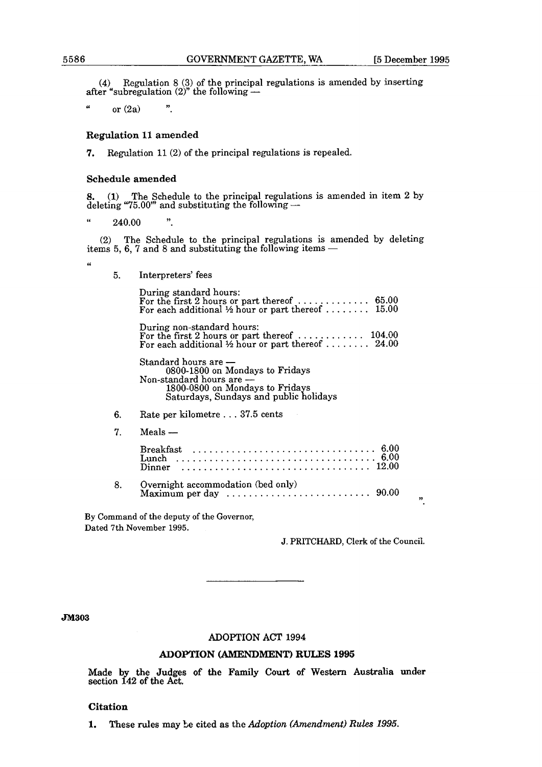(4) Regulation 8 (3) of the principal regulations is amended by inserting after "subregulation (2)" the following  $-$ 

 $\epsilon$  $\ddot{\phantom{a}}$ or  $(2a)$ 

#### **Regulation 11 amended**

**7,** Regulation 11 (2) of the principal regulations is repealed.

#### **Schedule amended**

**8. (1)** The Schedule to the principal regulations is amended in item *2* by 3. (1) The Schedule to the principal regulations<br>deleting "75.00" and substituting the following  $-$ 

 $"$  240.00

 $(2)$  The Schedule to the principal regulations is amended by deleting (2) The Schedule to the principal regulations is amer<br>tems 5, 6, 7 and 8 and substituting the following items  $-$ 

**U** 

5. Interpreters' fees

During standard hours:<br>For the first 2 hours or part thereof .................... 65.00 For each additional  $\frac{1}{2}$  hour or part thereof ......... 15.00

During non-standard hours: For the first 2 hours or part thereof ............ 104.00

For each additional Yz hour or part thereof ........ 24.00 Standard hours are - Standard hours are --<br>0800-1800 on Mondays to Fridays<br>Non-standard hours are --1800-0800 on Mondays to Fridays Saturdays, Sundays and public holidays

- 6. Rate per kilometre . . . 37.5 cents<br>7. Meals —
- 

| Overnight accommodation (bed only)<br>Maximum per day $\dots \dots \dots \dots \dots \dots \dots \dots \dots$ 90.00 |  |
|---------------------------------------------------------------------------------------------------------------------|--|

**By Command of the deputy of the Governor, Dated 7th November 1995.** 

**J. PRITCHARD, Clerk of the Council.** 

#### **JM303**

#### **ADOPTION ACT 1994**

#### **ADOPTION (AMENDMENT) RULFS 1995**

Made by the Judges of the Family Court of Western Australia under section 142 of the Act.

#### **Citation**

**l.** These rules may **be cited** as the *Adoption (Amendment) Rules 1995.*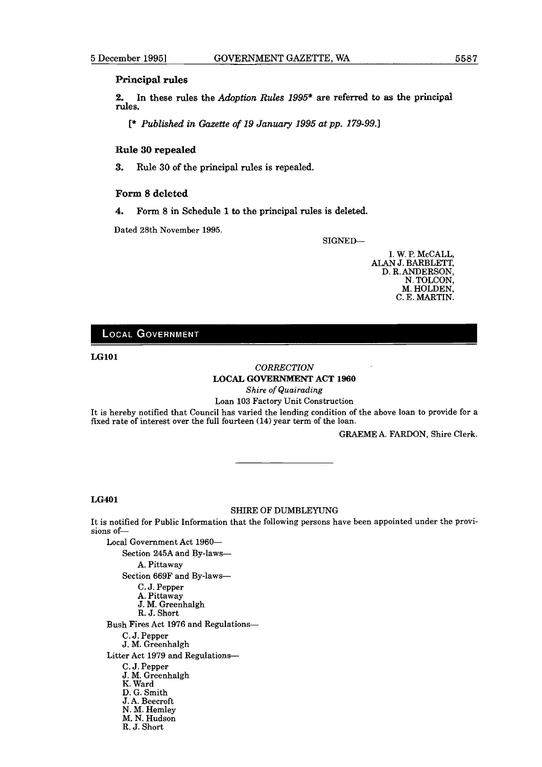#### **Principal rules**

**2. In these rules the** *Adoption* **Rules 1995\* are referred to as the principal rules.** 

[\* *Published* **in** *Gazette* **of 19 January 1995 at pp. 179-99.1** 

#### **Rule 30 repealed**

**3. Rule 30 of the principal rules is repealed.** 

#### **Form 8 deleted**

**4. Form 8 in Schedule 1 to the principal rules is deleted.** 

Dated 28th November 1995.

SIGNED-



#### **LOCAL GOVERNMENT**

**LGlOl** 

#### *CORRECTION*  **LOCAL GOVERNMENT** *ACT* **1960**

*Shire* of *Quairading* 

Loan 103 Factory Unit Construction

It is hereby notified that Council has varied the lending condition of the above loan to provide for a fixed rate of interest over the full fourteen **(14)** year term of the loan.

GRAEME A. FARDON, Shire Clerk.

#### **LG401**

#### SHIRE OF DUMBLEYUNG

It is notified for Public Information that the following persons have been appointed under the provisions of-

Local Government Act 1960-Section 245A and By-laws-A. Pittaway Section 669F and By-laws-C. J. Pepper A. Pittaway J. M. Greenhalgh R. J. Short **Bush** Fires Act 1976 and Regulations-C. J. Pepper J, M. Greenhalgh Litter Act 1979 and Regulations-C. J. Pepper J. M. Greenhalgh K. Ward D. G. Smith J. A. Beecroft N. M. Hemley M. N. Hudson R. J. Short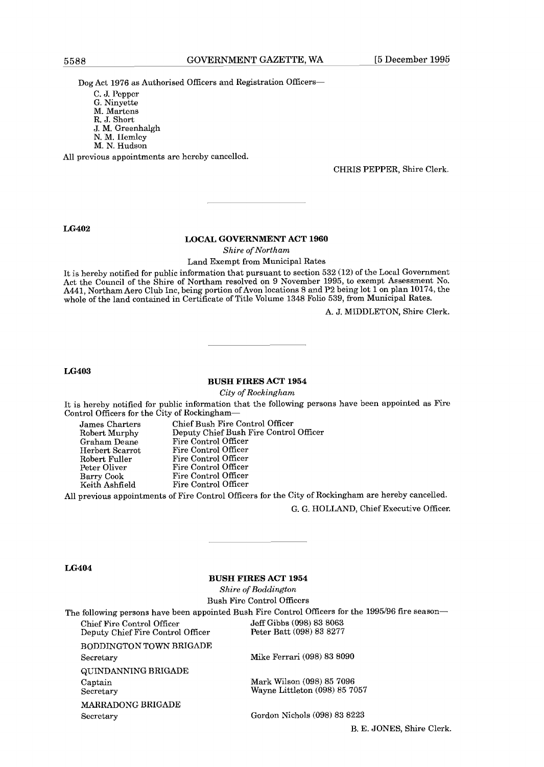Dog Act 1976 as Authorised Officers and Registration Officers-

C. J. Pcppcr G. Ninyette M. Martons R. J. Short **J.** M. Greenhalgh N. M. Ilcmlcy M. N. Hudson

All previous appointments are hereby cancelled.

CHRIS PEPPER, Shire Clerk.

**LG402** 

#### **LOCAL GOVERNMENT ACT 1960**

*Shire of Northam* 

Land Exempt from Municipal Rates

It is hereby notified for public information that pursuant to section 532 (12) of the Local Government Act the Council of the Shire of Northam resolved on 9 November 1995, to exempt Assessment No. A441, Northam Aero Club Inc, being portion of Avon locations 8 and P2 being lot 1 on plan 10174, the whole of the land contained in Certificate of Title Volume 1348 Folio 539, from Municipal Rates.

A. J. MIDDLETON, Shire Clerk.

**LG403** 

#### **BUSH FIRES ACT 1954**

*City of Rockingham* 

It is hereby notified for public information that the following persons have been appointed as Fire Control Officers for the City of Rockingham-

James Charters Chief Bush Fire Control Officer Robert Murphy Deputy Chief Bush Fire Control Officer Graham Deane Fire Control Officer Herbert Scarrot Fire Control Officer Robert Fuller Fire Control Officer<br>Peter Oliver Fire Control Officer Peter Oliver Fire Control Officer<br>Barry Cook Fire Control Officer Barry Cook Fire Control Officer<br>Keith Ashfield Fire Control Officer Fire Control Officer

All previous appointments of Fire Control Officers for the City of Rockingham are hereby cancelled.

G. G. HOLLAND, Chief Executive Officer.

**LG404** 

#### **BUSH FIRES ACT 1954**

*Shire of Boddington*  Bush Firc Control Officcrs

The following persons have been appointed Bush Fire Control Officers for the 1995/96 fire season-Chief Fire Control Officer Jeff Gibbs (098) 83 8063<br>Deputy Chief Fire Control Officer Peter Batt (098) 83 8277 Deputy Chief Fire Control Officer RODDINGTON TOWN BRIGADE Secretary Mike Ferrari (098) 83 8090 QUINDANNING BRIGADE Captain Secretary Mark Wilson (098) **85** 7096 Wayne Littleton (098) 85 7057

MARRADONG BRIGADE Secretary Gordon Nichols (098) 83 **8223** 

B. E. JONES, Shire Clerk.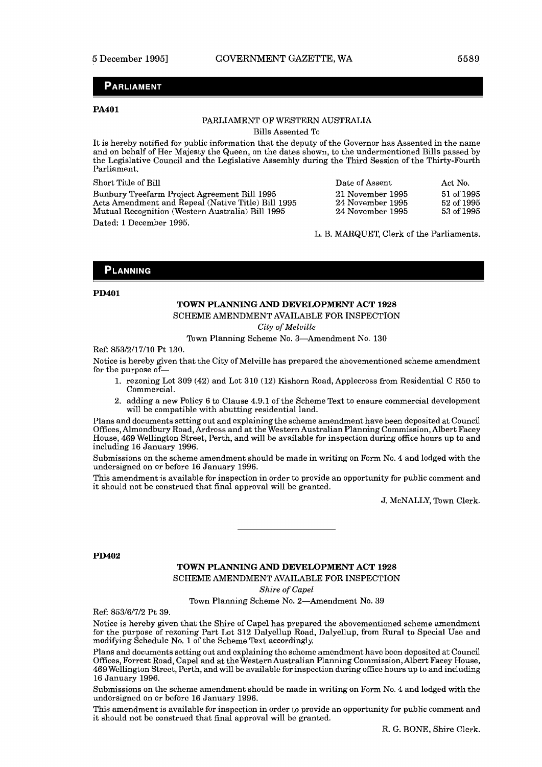#### **PARLIAMENT**

#### **PA401**

#### PARIJAMENT OF WESTERN AUSTRALIA

Bills Assented To

It is hereby notified for public information that the deputy of the Governor has Assented in the name and on behalf of Her Majesty the Queen, on the dates shown, to the undermentioned Bills passed by the Legislative Council and the Legislative Assembly during the Third Session of the Thirty-Wourth Parliament.

Short Title of Bill

Bunbury Treefarm Project Agreement Bill 1995 Acts Amendment and Repeal (Native Title) Bill 1995 Mutual Recognition (Western Australia) Bill 1995 Dated: 1 December 1995.

| Date of Assent   | Act No.      |
|------------------|--------------|
| 21 November 1995 | $51$ of 1995 |
| 24 November 1995 | 52 of 1995   |
| 24 November 1995 | 53 of 1995   |

L. B. MARQUET, Clerk of the Parliaments.

#### **PLANNING**

#### **PD401**

#### **TOWN PLANNING AND DEVELOPMENT ACT** 1928

SCHEME AMENDMENT AVAILABLE FOR INSPECTION

*City* of *Melville* 

Town Planning Scheme No. 3-Amendment No. 130

Ref: 853/2/17/10 Pt 130.

Notice is hereby given that the City of Melville has prepared the abovementioned scheme amendment for the purpose of-

- 1. rezoning Lot 309 (42) and Lot 310 (12) Kishorn Road, Applecross from Residential C R50 to Commercial.
- 2. adding a new Policy 6 to Clause 4.9.1 of the Scheme Text to ensure commercial development will be compatible with abutting residential land.

Plans and documents setting out and explaining the scheme amendment have been deposited at Council Offices, Almondbury Road, Ardross and at the Western Australian Planning Commission, Albert Facey House, 469 Wellington Street, Perth, and will be available for inspection during office hours up to and including 16 January 1996.

Submissions on the scheme amendment should be made in writing on Form No. 4 and lodged with the undersigned on or before 16 January 1996.

This amendment is available for inspection in order to provide an opportunity for public comment and it should not be construed that final approval will be granted.

J. McNALLY, Town Clerk.

#### **PD402**

# **TOWN PLANNING AND DEVELOPMENT ACT** 1928

SCHEME AMENDMENT AVAILABLE FOR INSPECTION

*Shire* of *Capel* 

Town Planning Scheme No. 2-Amendment No. 39

Ref: 853/6/7/2 Pt 39.

Notice is hereby given that the Shire of' Capel has prepared the abovementioned scheme amendment for the purpose of rexoning Part Lot 312 Dalyellup Road, Dalyellup, from Rural to Special Use and modifying Schedule No. 1 of'the Scheme Text accordingly

Plans and documents setting out and explaining the schcmo amcndmont havc been deposited at Council Offices, Forrest Road, Capel and at the Western Australian Planning Commission, Albert Facey House, 469 Wellington Strcct, Perth, and will be available for inspection during office hours up to and including 16 January 1996.

Submissions on the scheme amendment should be made in writing on Form No. 4 and lodged with the undcrsigncd on or bcforc 16 January 1996.

This amendment is available for inspection in order to provide an opportunity for public comment and it should not be construed that final approval will be granted.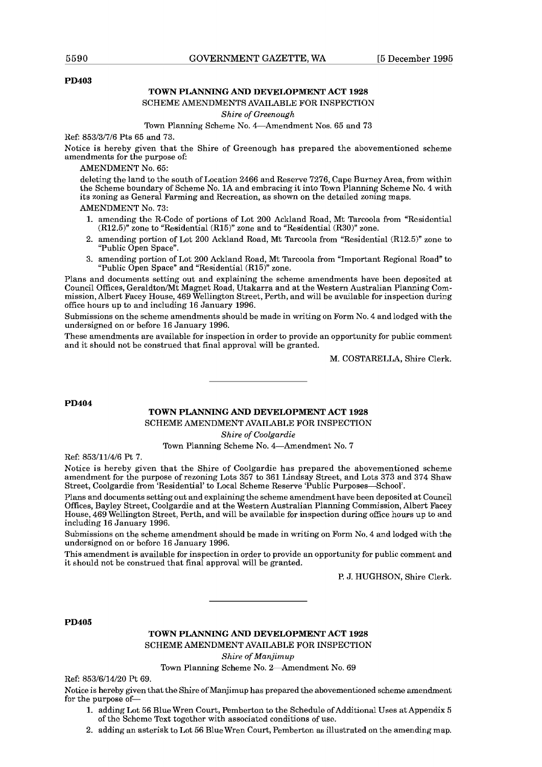#### **PD403**

#### **TOWN PLANNING AND DEVELOPMENT ACT 1928**

#### SCHEME AMENDMENTS AVAILABLE FOR INSPECTION

#### Shire of Greenough

#### Town Planning Scheme No. 4-Amendment Nos. 65 and 73

Ref: 853/3/7/6 Pts 65 and 73.

Notice is hereby given that the Shire of Greenough has prepared the abovementioned scheme amendments for the purpose of:

AMENDMENT No. 65:

deleting the land to the south of Location 2466 and Reserve 7276, Cape Rurney Area, from within the Scheme boundary of Scheme No. 1A and embracing it into Town Planning Scheme No. 4 with its zoning as General Farming and Recreation, as shown on the detailed zoning maps. AMENDMENT No. 73:

- **1.** amcnding thc R-Codc of portions of Lot 200 Ackland Road, Mt Tarcoola from "Rcsidcntial (R12.5)" zone to "Residential (R15)" zone and to "Residential (R30)" zone.
- 2. amending portion of Lot 200 Ackland Road, Mt Tarcoola from "Residential (R12.5)" zone to "Public Open Space".
- 3. amending portion of Lot 200 Ackland Road, Mt Tarcoola from "Important Regional Road" to "Public Open Space" and "Residential (R15)" zone.

Plans and documents setting out and explaining the scheme amendments have been deposited at Council Offices, Geraldton/Mt Magnet Road, Utakarra and at the Western Australian Planning Commission, Albert Facey House, 469 Wellington Street, Perth, and will be available for inspection during office hours up to and including 16 January 1996.

Submissions on the scheme amendments should be made in writing on Form No. 4 and lodged with the undersigned on or before 16 January 1996.

These amendments are available for inspection in order to provide an opportunity for public comment and it should not be construed that final approval will be granted.

M. COSTARELLA, Shire Clerk.

#### **PD404**

#### **TOWN PLANNING AND DEVELOPMENT ACT 1928**

SCHEME AMENDMENT AVAILABLE FOR INSPECTION

Shire of Coolgardie

Town Planning Scheme No. 4-Amendment No. 7

Ref: 853/11/4/6 Pt 7.

Notice is hereby given that the Shire of Coolgardie has prepared the abovementioned scheme amendment for the purpose of rezoning Lots 357 to 361 Lindsay Street, and Lots 373 and 374 Shaw Street, Coolgardie from 'Residential' to Local Scheme Reserve 'Public Purposes-School'.

Plans and documents setting out and explaining the scheme amendment have been deposited at Council Offices, Bayley Street, Coolgardie and at the Western Australian Planning Commission, Albert Facey House, 469 Wellington Street, Perth, and will be available for inspection during office hours up to and including 16 January 1996.

Suhmissions on the scheme amendment should be made in writing on Form No. 4 and lodged with the undcrsigncd on or bcforc 16 January 1996.

This amendment is available for inspection in order to provide an opportunity for public comment and it should not be construed that final approval will be granted.

P. J. HUGHSON, Shire Clerk.

#### **PD405**

#### **TOWN PLANNING AND DEVELOPMENT ACT 1928**  SCHEME AMENDMENT AVAILABLE FOR INSPECTION

Shire of Manjimup

Town Planning Scheme No. 2-Amendment No. 69

Ref: 853/6/14/20 Pt 69.

Notice is hereby given that the Shire of Manjimup has prepared the abovementioned scheme amendment for the purpose of-

- 1. adding Lot 56 Blue Wren Court, Pemberton to the Schedule of Additional Uses at Appendix 5 of thc Schcmc Tcxt togcthcr with associatcd conditions of use.
- 2. adding an asterisk to Lot 56 Blue Wren Court, Pemberton as illustrated on the amending map.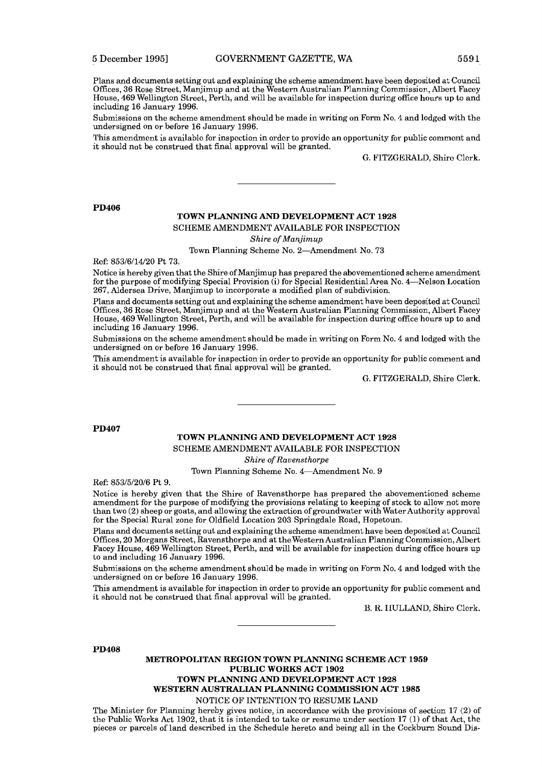Plans and documents setting out and explaining the scheme amendment have been deposited at Council Offices, 36 Rose Street, Manjimup and at the Western Australian Planning Commjssion, Albert Facey House, 469 Wellinglon Street, Perth, and will be available for inspection during oflice hours up to and including 16 January 1996.

Submissions on the scheme amendment should be made in writing on Form No. 4 and lodged with the undersigned on or before 16 January 1996.

This amcndmcnt is availablo for inspcction in ordor to provido an opportunity for public commcnt and it should not be construed that final approval will be granted.

G. FITZGERALD, Shire Clerk.

**PD406** 

#### **TOWN PLANNING AND DEVELOPMENT ACT** 1928

SCHEME AMENDMENT AVAILABLE FOR INSPECTION

*Shire of Manjimup* 

Town Planning Scheme No. 2-Amendment No. 73

Rcf: 853/6/14/20 Pt 73.

Notice is hereby given that the Shire of Manjimup has prepared the abovementioned scheme amendment for the purpose of modifying Special Provision (i) for Special Residential Area No. 4—Nelson Location 267, Aldersea Drive, Manjimup to incorporate a modified plan of subdivision.

Plans and documents setting out and explaining the scheme amendment have been deposited at Council Offices, 36 Rose Street, Manjimup and at the Western Australian Planning Commission, Albert Facey House, 469 Wellington Street, Perth, and will be available for inspection during office hours up to and including 16 January 1996.

Submissions on the scheme amendment should be made in writing on Form No. 4 and lodged with the undersigned on or before 16 January 1996.

This amendment is available for inspection in order to provide an opportunity for public comment and it should not be construed that final approval will be granted.

G. FITZGERALD. Shire Clerk.

#### **PD407**

#### **TOWN PLANNING AND DEVELOPMENT ACT** 1928 SCHEME AMENDMENT AVAILABLE FOR INSPECTION

*Shire of Ravensthorpe* 

Town Planning Scheme No. 4-Amendment No. 9

Ref: 853/5/20/6 Pt 9.

Notice is hereby given that the Shire of Ravensthorpe has prepared the abovementioned scheme amendment for the purpose of modifying the provisions relating to keeping of stock to allow not more than two (2) sheep or goats, and allowing the extraction of groundwater with WaterAuthority approval for the Special Rural zone for Oldfield Location 203 Springdale Road, Hopetoun.

Plans and documents setting out and explaining the scheme amendment have been deposited at Council Offices, 20 Morgans Street, Ravensthorpe and at the Western Australian Planning Commission, Albert Facey House, 469 Wellington Street, Perth, and will be available for inspection during office hours up to and including 16 January 1996.

Submissions on the scheme amendment should be made in writing on Form No. 4 and lodged with the undersigned on or before 16 January 1996.

This amendment is available for inspection in order to provide **an** opportunity for public comment and it should not be construed that final approval will be granted.

U. 12. IIULLAND. Shirc Clerk.

#### **PD408**

#### **METROPOLITAN REGION TOWN PLANNING SCHEME ACT** 1959 **PUBLIC WORKS ACT** 1902 **TOWN PLANNING** AND **DEVELOPMENT ACT** 1928

**WESTERN AUSTRALIAN PLANNING COMMISSION ACT** 1985

NOTICE OF INTENTION TO RESUME LAND

The Minister for Planning hereby gives notice, in accordance with the provisions of section  $17 (2)$  of the Public Works Act 1902, that it is intended to take or resume under section 17 (1) of that **Act,** the pieces or parcels of land described in the Schedule hereto and being all in the Cockburn Sound Dis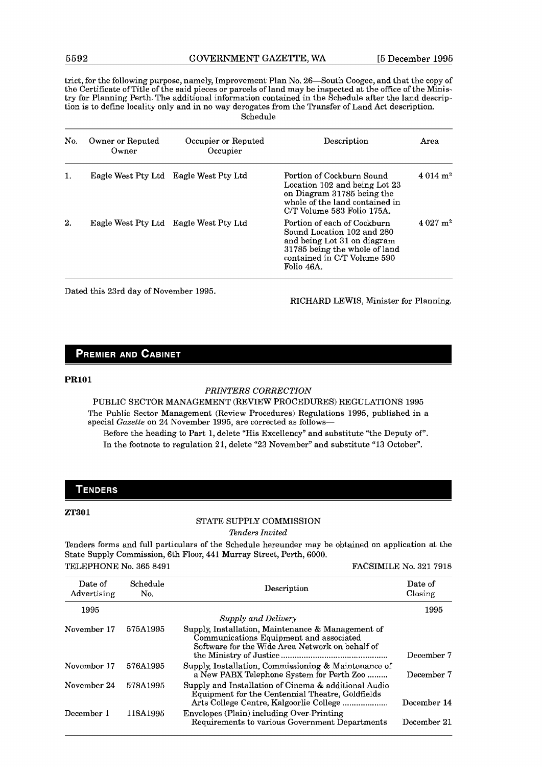trict, for the following purpose, namely, Improvement Plan No. 26-South Coogee, and that the copy of the Certificate of Title of the said pieces or parcels of land may be inspected at the ofice of the Ministry for Planning Perth. The additional inhrmation contained in the Schedule after the land description is to define locality only and in no way derogates from the Transfer of Land Act description. Schedule

| No. | Owner or Reputed<br>Owner | Occupier or Reputed<br>Occupier       | Description                                                                                                                                                            | Area                   |
|-----|---------------------------|---------------------------------------|------------------------------------------------------------------------------------------------------------------------------------------------------------------------|------------------------|
| 1.  |                           | Eagle West Pty Ltd Eagle West Pty Ltd | Portion of Cockburn Sound<br>Location 102 and being Lot 23<br>on Diagram 31785 being the<br>whole of the land contained in<br>C/T Volume 583 Folio 175A.               | $4.014 \text{ m}^2$    |
| 2.  |                           | Eagle West Pty Ltd Eagle West Pty Ltd | Portion of each of Cockburn<br>Sound Location 102 and 280<br>and being Lot 31 on diagram<br>31785 being the whole of land<br>contained in C/T Volume 590<br>Folio 46A. | $4.027$ m <sup>2</sup> |

Dated this 23rd day of November 1995.

RICHARD LEWIS, Minister for Planning.

#### **PREMIER AND CABINET**

#### PR101

#### *PRINTERS CORRECTION*

PUBLIC SECTOR MANAGEMENT (REVIEW PROCEDURES) REGULATIONS 1995 The Public Sector Management (Review Procedures) Regulations 1995, published in a special *Gazette* on 24 November 1995, are corrected as follows-

Before the heading to Part 1, delete "His Excellency" and substitute "the Deputy of". In the footnote to regulation 21, delete "23 November" and substitute "13 October".

#### **TENDERS**

#### ZT301

#### STATE SUPPLY COMMISSION

*Tenders Invited* 

Tenders forms and full particulars of the Schedule hereunder may be obtained on application at the State Supply Commission, 6th Floor, 441 Murray Street, Perth, 6000. TELEPHONE No. 365 8491 FACSIMILE No. **321** 7918

| Date of<br>Advertising | Schedule<br>No. | Description                                                                                                                                     | Date of<br>Closing |
|------------------------|-----------------|-------------------------------------------------------------------------------------------------------------------------------------------------|--------------------|
| 1995                   |                 | <b>Supply and Delivery</b>                                                                                                                      | 1995               |
| November 17            | 575A1995        | Supply, Installation, Maintenance & Management of<br>Communications Equipment and associated<br>Software for the Wide Area Network on behalf of | December 7         |
| November 17            | 576A1995        | Supply, Installation, Commissioning & Maintenance of<br>a New PABX Telephone System for Perth Zoo                                               | December 7         |
| November 24            | 578A1995        | Supply and Installation of Cinema & additional Audio<br>Equipment for the Centennial Theatre, Goldfields                                        | December 14        |
| December 1             | 118A1995        | Envelopes (Plain) including Over-Printing<br>Requirements to various Government Departments                                                     | December 21        |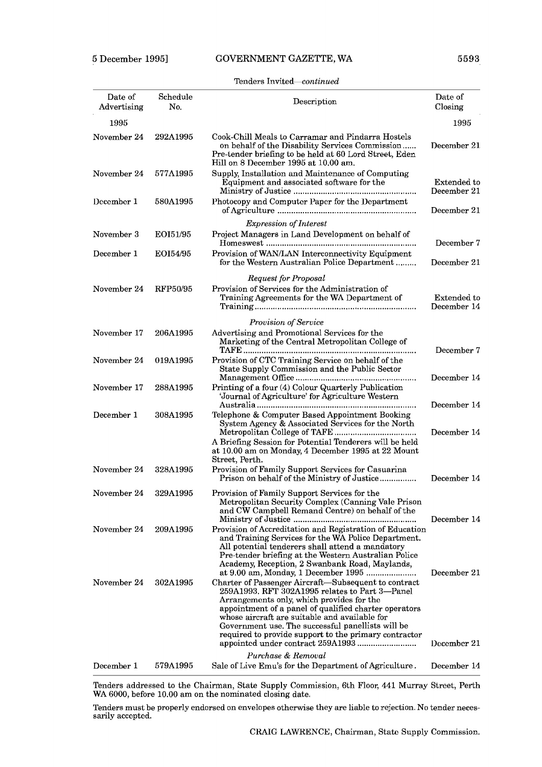#### Tenders Invited-continued

| Date of<br>Advertising | Schedule<br>No. | Description                                                                                                                                                                                                                                                                                                                                                                                                        | Date of<br>Closing         |
|------------------------|-----------------|--------------------------------------------------------------------------------------------------------------------------------------------------------------------------------------------------------------------------------------------------------------------------------------------------------------------------------------------------------------------------------------------------------------------|----------------------------|
| 1995                   |                 |                                                                                                                                                                                                                                                                                                                                                                                                                    | 1995                       |
| November 24            | 292A1995        | Cook-Chill Meals to Carramar and Pindarra Hostels<br>on behalf of the Disability Services Commission<br>Pre-tender briefing to be held at 60 Lord Street, Eden<br>Hill on 8 December 1995 at 10.00 am.                                                                                                                                                                                                             | December 21                |
| November 24            | 577A1995        | Supply, Installation and Maintenance of Computing<br>Equipment and associated software for the                                                                                                                                                                                                                                                                                                                     | Extended to<br>December 21 |
| December 1             | 580A1995        | Photocopy and Computer Paper for the Department                                                                                                                                                                                                                                                                                                                                                                    | December 21                |
|                        |                 | <b>Expression of Interest</b>                                                                                                                                                                                                                                                                                                                                                                                      |                            |
| November 3             | EOI51/95        | Project Managers in Land Development on behalf of                                                                                                                                                                                                                                                                                                                                                                  | December 7                 |
| December 1             | EOI54/95        | Provision of WAN/LAN Interconnectivity Equipment<br>for the Western Australian Police Department                                                                                                                                                                                                                                                                                                                   | December 21                |
|                        |                 | <b>Request for Proposal</b>                                                                                                                                                                                                                                                                                                                                                                                        |                            |
| November 24            | RFP50/95        | Provision of Services for the Administration of<br>Training Agreements for the WA Department of                                                                                                                                                                                                                                                                                                                    | Extended to<br>December 14 |
|                        |                 | Provision of Service                                                                                                                                                                                                                                                                                                                                                                                               |                            |
| November 17            | 206A1995        | Advertising and Promotional Services for the<br>Marketing of the Central Metropolitan College of                                                                                                                                                                                                                                                                                                                   | December 7                 |
| November 24            | 019A1995        | Provision of CTC Training Service on behalf of the<br>State Supply Commission and the Public Sector                                                                                                                                                                                                                                                                                                                | December 14                |
| November 17            | 288A1995        | Printing of a four (4) Colour Quarterly Publication<br>'Journal of Agriculture' for Agriculture Western                                                                                                                                                                                                                                                                                                            | December 14                |
| December 1             | 308A1995        | Telephone & Computer Based Appointment Booking<br>System Agency & Associated Services for the North<br>A Briefing Session for Potential Tenderers will be held<br>at 10.00 am on Monday, 4 December 1995 at 22 Mount<br>Street, Perth.                                                                                                                                                                             | December 14                |
| November 24            | 328A1995        | Provision of Family Support Services for Casuarina<br>Prison on behalf of the Ministry of Justice                                                                                                                                                                                                                                                                                                                  | December 14                |
| November 24            | 329A1995        | Provision of Family Support Services for the<br>Metropolitan Security Complex (Canning Vale Prison<br>and CW Campbell Remand Centre) on behalf of the                                                                                                                                                                                                                                                              |                            |
| November 24            | 209A1995        | Provision of Accreditation and Registration of Education<br>and Training Services for the WA Police Department.<br>All potential tenderers shall attend a mandatory<br>Pre-tender briefing at the Western Australian Police<br>Academy, Reception, 2 Swanbank Road, Maylands,                                                                                                                                      | December 14                |
| November 24            | 302A1995        | at 9.00 am, Monday, 1 December 1995<br>Charter of Passenger Aircraft-Subsequent to contract<br>259A1993. RFT 302A1995 relates to Part 3-Panel<br>Arrangements only, which provides for the<br>appointment of a panel of qualified charter operators<br>whose aircraft are suitable and available for<br>Government use. The successful panellists will be<br>required to provide support to the primary contractor | December 21<br>December 21 |
| December 1             | 579A1995        | Purchase & Removal<br>Sale of Live Emu's for the Department of Agriculture.                                                                                                                                                                                                                                                                                                                                        | December 14                |
|                        |                 |                                                                                                                                                                                                                                                                                                                                                                                                                    |                            |

Tenders addressed to the Chairman, State Supply Commission, 6th Floor, 441 Murray Street, Perth WA 6000, before 10.00 am on the nominated closing date.

Tenders must be properly endorsed on envelopes otherwise they are liable to rejection. No tender necessarily accepted.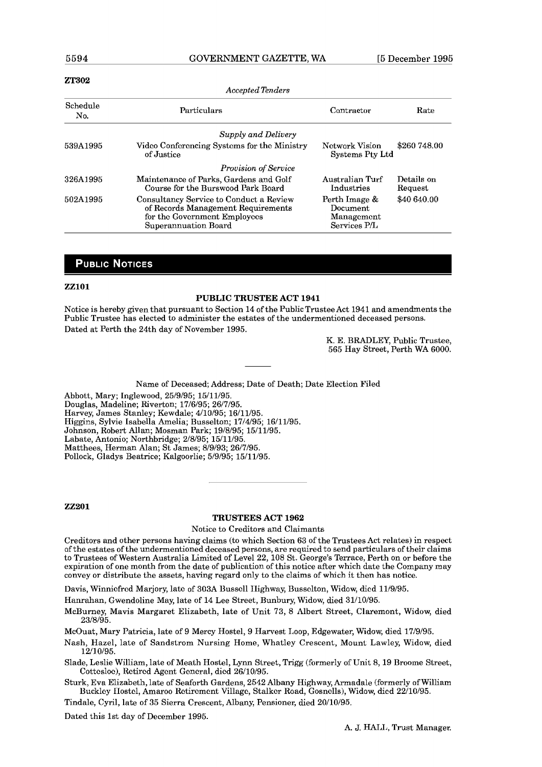*Accepted Tknders* 

#### **ZT302**

| Accepted Tenders |                                                                                                                                       |                                                         |                       |
|------------------|---------------------------------------------------------------------------------------------------------------------------------------|---------------------------------------------------------|-----------------------|
| Schedule<br>No.  | Particulars                                                                                                                           | Contractor                                              | Rate                  |
|                  | Supply and Delivery                                                                                                                   |                                                         |                       |
| 539A1995         | Video Conferencing Systems for the Ministry<br>of Justice                                                                             | Network Vision<br>Systems Pty Ltd                       | \$260 748.00          |
|                  | <b>Provision of Service</b>                                                                                                           |                                                         |                       |
| 326A1995         | Maintenance of Parks, Gardens and Golf<br>Course for the Burswood Park Board                                                          | Australian Turf<br>Industries                           | Details on<br>Request |
| 502A1995         | Consultancy Service to Conduct a Review<br>of Records Management Requirements<br>for the Government Employees<br>Superannuation Board | Perth Image &<br>Document<br>Management<br>Services P/L | \$40 640.00           |

#### **PUBLIC NOTICES**

#### **ZZlOl**

#### **PUBLIC TRUSTEE ACT 1941**

Notice is hereby given that pursuant to Section 14 of the PublicTrusteeAct 1941 and amendments the Public Trustee has elected to administer the estates of the undermentioned deceased persons. Dated at Perth the 24th day of November 1995.

> K. E. BRADLEY, Public Trustee, 565 Hay Street, Perth WA 6000.

Name of Deceased; Address; Date of Death; Date Election Filed

Abbott, Mary; Inglewood, 25/9/95; 15/11/95. Douglas, Madeline; Riverton; 17/6/95; 26/7/95. Harvey, James Stanley; Kewdale; 4/10/95; 16/11/95. Higgins, Sylvie Isabella Amelia; Busselton; 17/4/95; 16/11/95. Johnson, Robert Allan; Mosman Park; 19/8/95; 15/11/95. Labate, Antonio; Northbridge; 2/8/95; 15/11/95. Matthees, Herman Alan; St James; 8/9/93; 26/7/95. Pollock, Gladys Beatrice; Kalgoorlie; 5/9/95; 15/11/95.

**zz201** 

#### **TRUSTEES ACT 1962**

Notice to Creditors and Claimants

Creditors and other persons having claims (to which Section 63 of the Trustees Act relates) in respect of the estates of the undermentioned deceased persons, are required to send particulars of their claims to Trustees of Western Australia Limited of Level 22,108 St. George's Terrace, Perth on or before the expiration of one month from the date of publication of this notice after which date the Company may convey or distribute the assets, having regard only to the claims of which it then has notice.

Uavis, Winnicfrcd Marjory, late of 303A Uusscll Highway, Uussclton, Widow, dicd 11/9/95.

Hanrahan, Gwendoline May, late of 14 Lee Street, Bunbury, Widow, died 31/10/96.

McBurney, Mavis Margaret Elizabeth, late of Unit 73, 8 Albert Street, Claremont, Widow, died 23/8/95.

McOuat, Mary Patricia, late of 9 Mercy Hostel, 9 Harvest Loop, Edgewater, Widow, died 77/9/95.

Nash, Hazel, late of Sandstrom Nursing Home, Whatley Crescent, Mount Lawley, Widow, died 12/10/95.

Slade, Leslie William, late of Meath Hostel, Lynn Street, Trigg (formerly of Unit 8, 19 Broome Street, Cottcsloe), Retired Agent General, died 26/10/95.

Sturk, Eva Elizabeth, late of Seaforth Gardens, 2542 Albany Highway, Armadale (formerly of William Buckley Hostel, Amaroo Retirement Village, Stalker Road, Gosnells), Widow, died 22/10/95.

Tindale, Cyril, late of 35 Sierra Crescent, Albany, Pensioner, died 20/10/95.

Dated this 1st day of December 1995.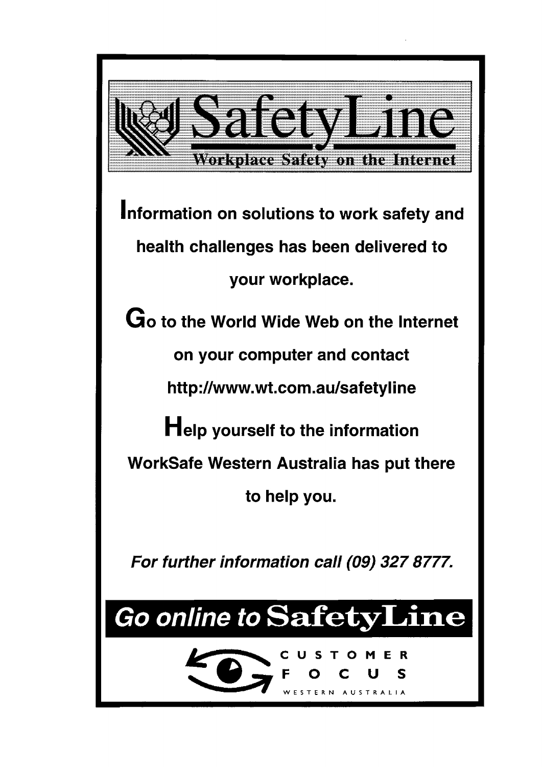

**Information on solutions to work safety and health challenges has been delivered to your workplace.** 

**Go to the World Wide Web on the lnternet on your computer and contact http://www.wt.com.au/safetyline Help yourself to the information WorkSafe Western Australia has put there to help you.** 

**For further information call (09) 327 8777.** 

# Go online to SafetyLine

**FOCUS** 

 $\overline{\mathbf{R}}$ 

**WESTERN AUSTRALIA** 

**CUSTOMER CUST**